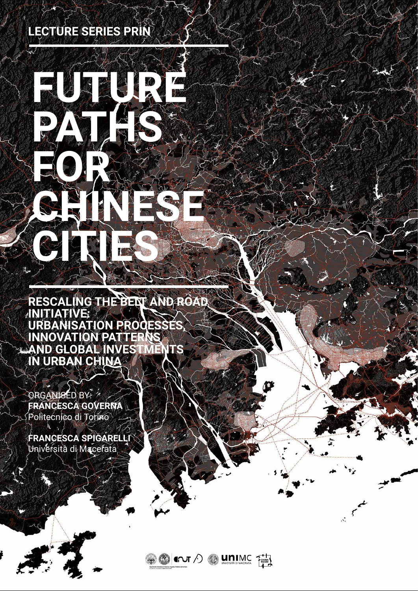**FOR**

FUTURE E

**CHINESE**

**CITIES**

ORGANISED BY: **FRANCESCA GOVERNA** Politecnico di Torino

**RESCALING THE BELT AND ROAD INITIATIVE: URBANISATION PROCESSES, INNOVATION PATTERNS AND GLOBAL INVESTMENTS IN URBAN CHINA**

## **LECTURE SERIES PRIN**

**PATHS** 

**FRANCESCA SPIGARELLI**

## Università di Macerata